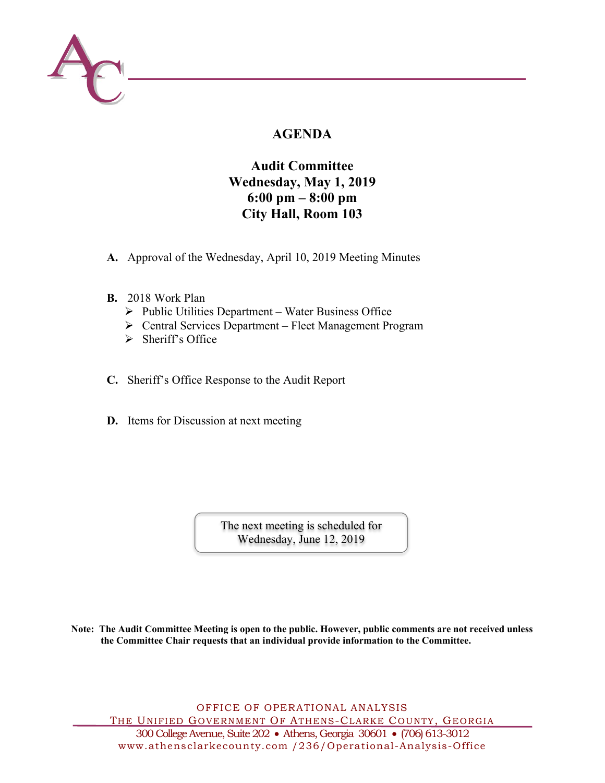

# **AGENDA**

# **Audit Committee Wednesday, May 1, 2019 6:00 pm – 8:00 pm City Hall, Room 103**

- **A.** Approval of the Wednesday, April 10, 2019 Meeting Minutes
- **B.** 2018 Work Plan
	- $\triangleright$  Public Utilities Department Water Business Office
	- Central Services Department Fleet Management Program
	- $\triangleright$  Sheriff's Office
- **C.** Sheriff's Office Response to the Audit Report
- **D.** Items for Discussion at next meeting

The next meeting is scheduled for Wednesday, June 12, 2019

**Note: The Audit Committee Meeting is open to the public. However, public comments are not received unless the Committee Chair requests that an individual provide information to the Committee.** 

OFFICE OF OPERATIONAL ANALYSIS THE UNIFIED GOVERNMENT OF ATHENS-CLARKE COUNTY, GEORGIA 300 College Avenue, Suite 202 Athens, Georgia 30601 (706) 613-3012

www.athensclarkecounty.com /236/Operational-Analysis-Office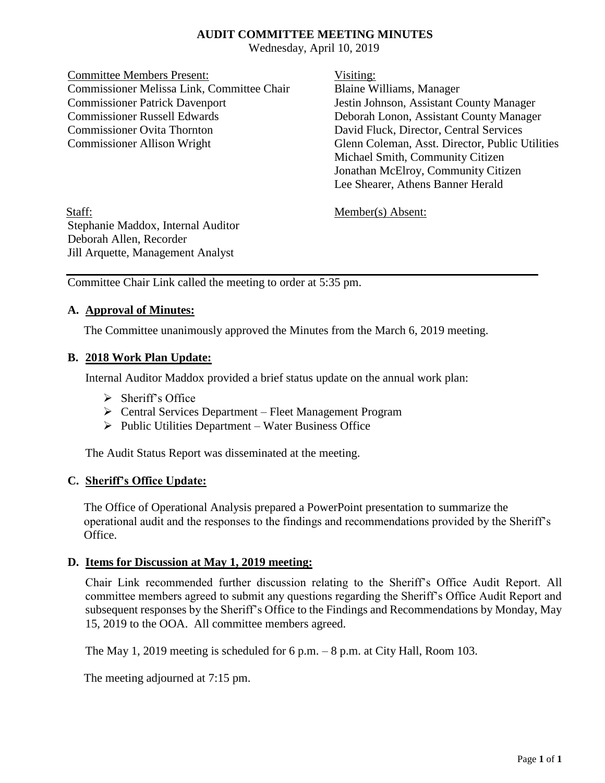#### **AUDIT COMMITTEE MEETING MINUTES**

Wednesday, April 10, 2019

Committee Members Present: Visiting: Commissioner Melissa Link, Committee Chair Blaine Williams, Manager Commissioner Patrick Davenport Jestin Johnson, Assistant County Manager Commissioner Russell Edwards Deborah Lonon, Assistant County Manager Commissioner Ovita Thornton David Fluck, Director, Central Services Commissioner Allison Wright Glenn Coleman, Asst. Director, Public Utilities

Michael Smith, Community Citizen Jonathan McElroy, Community Citizen Lee Shearer, Athens Banner Herald

Staff: Member(s) Absent: Stephanie Maddox, Internal Auditor Deborah Allen, Recorder Jill Arquette, Management Analyst

Committee Chair Link called the meeting to order at 5:35 pm.

#### **A. Approval of Minutes:**

The Committee unanimously approved the Minutes from the March 6, 2019 meeting.

#### **B. 2018 Work Plan Update:**

Internal Auditor Maddox provided a brief status update on the annual work plan:

- $\triangleright$  Sheriff's Office
- Central Services Department Fleet Management Program
- $\triangleright$  Public Utilities Department Water Business Office

The Audit Status Report was disseminated at the meeting.

#### **C. Sheriff's Office Update:**

The Office of Operational Analysis prepared a PowerPoint presentation to summarize the operational audit and the responses to the findings and recommendations provided by the Sheriff's Office.

#### **D. Items for Discussion at May 1, 2019 meeting:**

Chair Link recommended further discussion relating to the Sheriff's Office Audit Report. All committee members agreed to submit any questions regarding the Sheriff's Office Audit Report and subsequent responses by the Sheriff's Office to the Findings and Recommendations by Monday, May 15, 2019 to the OOA. All committee members agreed.

The May 1, 2019 meeting is scheduled for 6 p.m. – 8 p.m. at City Hall, Room 103.

The meeting adjourned at 7:15 pm.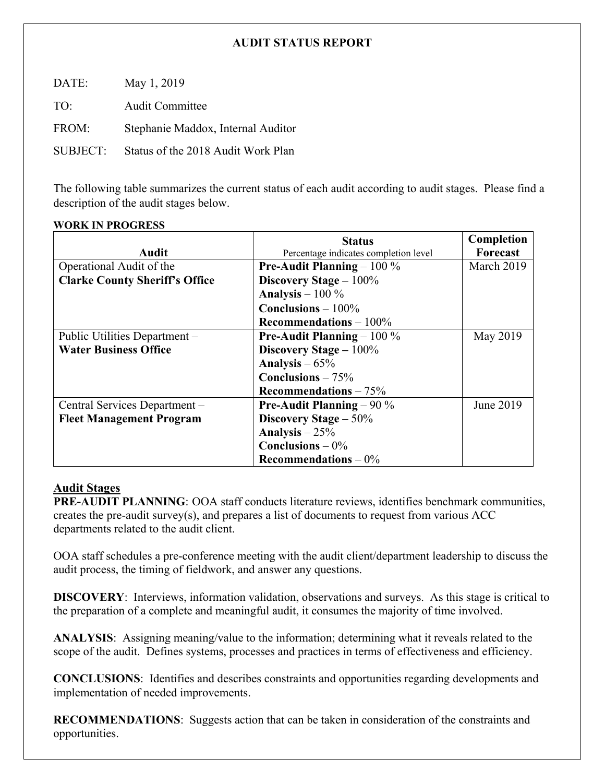### **AUDIT STATUS REPORT**

DATE: May 1, 2019 TO: Audit Committee FROM: Stephanie Maddox, Internal Auditor SUBJECT: Status of the 2018 Audit Work Plan

The following table summarizes the current status of each audit according to audit stages. Please find a description of the audit stages below.

#### **WORK IN PROGRESS**

|                                       | <b>Status</b>                         | Completion |
|---------------------------------------|---------------------------------------|------------|
| Audit                                 | Percentage indicates completion level | Forecast   |
| Operational Audit of the              | <b>Pre-Audit Planning</b> $-100\%$    | March 2019 |
| <b>Clarke County Sheriff's Office</b> | Discovery Stage $-100\%$              |            |
|                                       | Analysis $-100\%$                     |            |
|                                       | Conclusions $-100\%$                  |            |
|                                       | Recommendations $-100\%$              |            |
| Public Utilities Department –         | <b>Pre-Audit Planning</b> $-100\%$    | May 2019   |
| <b>Water Business Office</b>          | Discovery Stage $-100\%$              |            |
|                                       | Analysis $-65%$                       |            |
|                                       | Conclusions $-75%$                    |            |
|                                       | Recommendations $-75%$                |            |
| Central Services Department -         | <b>Pre-Audit Planning</b> – 90 $\%$   | June 2019  |
| <b>Fleet Management Program</b>       | Discovery Stage $-50\%$               |            |
|                                       | Analysis $-25%$                       |            |
|                                       | Conclusions $-0\%$                    |            |
|                                       | Recommendations $-0\%$                |            |

### **Audit Stages**

**PRE-AUDIT PLANNING**: OOA staff conducts literature reviews, identifies benchmark communities, creates the pre-audit survey(s), and prepares a list of documents to request from various ACC departments related to the audit client.

OOA staff schedules a pre-conference meeting with the audit client/department leadership to discuss the audit process, the timing of fieldwork, and answer any questions.

**DISCOVERY**: Interviews, information validation, observations and surveys. As this stage is critical to the preparation of a complete and meaningful audit, it consumes the majority of time involved.

**ANALYSIS**: Assigning meaning/value to the information; determining what it reveals related to the scope of the audit. Defines systems, processes and practices in terms of effectiveness and efficiency.

**CONCLUSIONS**: Identifies and describes constraints and opportunities regarding developments and implementation of needed improvements.

**RECOMMENDATIONS**: Suggests action that can be taken in consideration of the constraints and opportunities.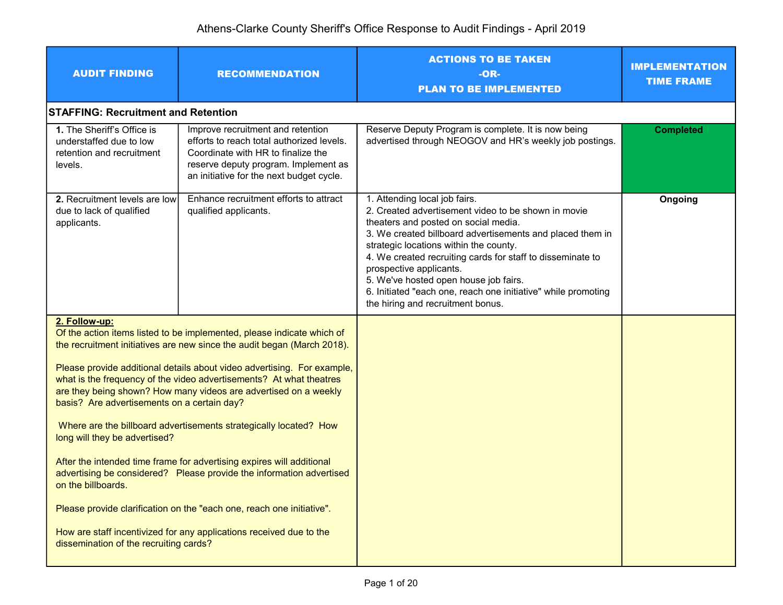| <b>AUDIT FINDING</b>                                                                                                                                          | <b>RECOMMENDATION</b>                                                                                                                                                                                                                                                                                                                                                                                                                                                                                                                                                                                                                                                                                                                         | <b>ACTIONS TO BE TAKEN</b><br>$-OR-$<br><b>PLAN TO BE IMPLEMENTED</b>                                                                                                                                                                                                                                                                                                                                                                                                       | <b>IMPLEMENTATION</b><br><b>TIME FRAME</b> |
|---------------------------------------------------------------------------------------------------------------------------------------------------------------|-----------------------------------------------------------------------------------------------------------------------------------------------------------------------------------------------------------------------------------------------------------------------------------------------------------------------------------------------------------------------------------------------------------------------------------------------------------------------------------------------------------------------------------------------------------------------------------------------------------------------------------------------------------------------------------------------------------------------------------------------|-----------------------------------------------------------------------------------------------------------------------------------------------------------------------------------------------------------------------------------------------------------------------------------------------------------------------------------------------------------------------------------------------------------------------------------------------------------------------------|--------------------------------------------|
| <b>STAFFING: Recruitment and Retention</b>                                                                                                                    |                                                                                                                                                                                                                                                                                                                                                                                                                                                                                                                                                                                                                                                                                                                                               |                                                                                                                                                                                                                                                                                                                                                                                                                                                                             |                                            |
| 1. The Sheriff's Office is<br>understaffed due to low<br>retention and recruitment<br>levels.                                                                 | Improve recruitment and retention<br>efforts to reach total authorized levels.<br>Coordinate with HR to finalize the<br>reserve deputy program. Implement as<br>an initiative for the next budget cycle.                                                                                                                                                                                                                                                                                                                                                                                                                                                                                                                                      | Reserve Deputy Program is complete. It is now being<br>advertised through NEOGOV and HR's weekly job postings.                                                                                                                                                                                                                                                                                                                                                              | <b>Completed</b>                           |
| 2. Recruitment levels are low<br>due to lack of qualified<br>applicants.                                                                                      | Enhance recruitment efforts to attract<br>qualified applicants.                                                                                                                                                                                                                                                                                                                                                                                                                                                                                                                                                                                                                                                                               | 1. Attending local job fairs.<br>2. Created advertisement video to be shown in movie<br>theaters and posted on social media.<br>3. We created billboard advertisements and placed them in<br>strategic locations within the county.<br>4. We created recruiting cards for staff to disseminate to<br>prospective applicants.<br>5. We've hosted open house job fairs.<br>6. Initiated "each one, reach one initiative" while promoting<br>the hiring and recruitment bonus. | Ongoing                                    |
| 2. Follow-up:<br>basis? Are advertisements on a certain day?<br>long will they be advertised?<br>on the billboards.<br>dissemination of the recruiting cards? | Of the action items listed to be implemented, please indicate which of<br>the recruitment initiatives are new since the audit began (March 2018).<br>Please provide additional details about video advertising. For example,<br>what is the frequency of the video advertisements? At what theatres<br>are they being shown? How many videos are advertised on a weekly<br>Where are the billboard advertisements strategically located? How<br>After the intended time frame for advertising expires will additional<br>advertising be considered? Please provide the information advertised<br>Please provide clarification on the "each one, reach one initiative".<br>How are staff incentivized for any applications received due to the |                                                                                                                                                                                                                                                                                                                                                                                                                                                                             |                                            |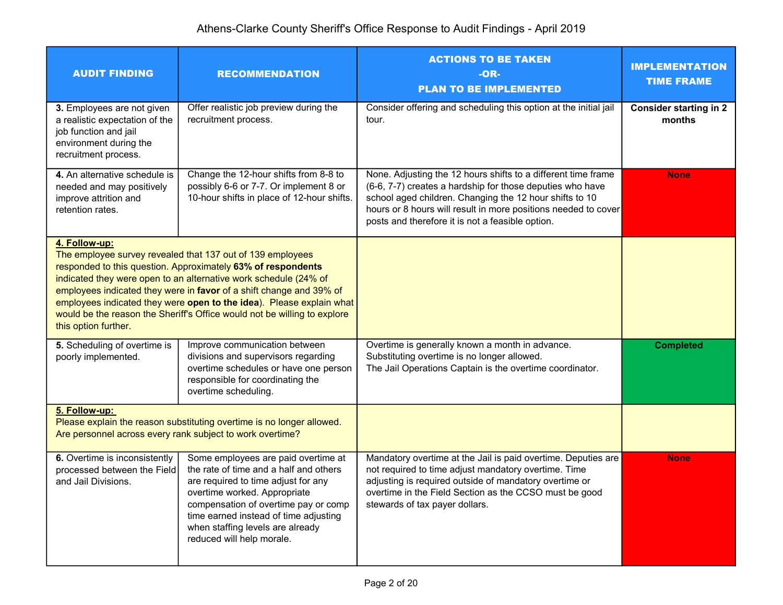| <b>AUDIT FINDING</b>                                                                                                                    | <b>RECOMMENDATION</b>                                                                                                                                                                                                                                                                                                                                                                                                     | <b>ACTIONS TO BE TAKEN</b><br>$-OR-$<br><b>PLAN TO BE IMPLEMENTED</b>                                                                                                                                                                                                                                       | <b>IMPLEMENTATION</b><br><b>TIME FRAME</b> |
|-----------------------------------------------------------------------------------------------------------------------------------------|---------------------------------------------------------------------------------------------------------------------------------------------------------------------------------------------------------------------------------------------------------------------------------------------------------------------------------------------------------------------------------------------------------------------------|-------------------------------------------------------------------------------------------------------------------------------------------------------------------------------------------------------------------------------------------------------------------------------------------------------------|--------------------------------------------|
| 3. Employees are not given<br>a realistic expectation of the<br>job function and jail<br>environment during the<br>recruitment process. | Offer realistic job preview during the<br>recruitment process.                                                                                                                                                                                                                                                                                                                                                            | Consider offering and scheduling this option at the initial jail<br>tour.                                                                                                                                                                                                                                   | <b>Consider starting in 2</b><br>months    |
| 4. An alternative schedule is<br>needed and may positively<br>improve attrition and<br>retention rates.                                 | Change the 12-hour shifts from 8-8 to<br>possibly 6-6 or 7-7. Or implement 8 or<br>10-hour shifts in place of 12-hour shifts.                                                                                                                                                                                                                                                                                             | None. Adjusting the 12 hours shifts to a different time frame<br>(6-6, 7-7) creates a hardship for those deputies who have<br>school aged children. Changing the 12 hour shifts to 10<br>hours or 8 hours will result in more positions needed to cover<br>posts and therefore it is not a feasible option. | <b>None</b>                                |
| 4. Follow-up:<br>this option further.                                                                                                   | The employee survey revealed that 137 out of 139 employees<br>responded to this question. Approximately 63% of respondents<br>indicated they were open to an alternative work schedule (24% of<br>employees indicated they were in favor of a shift change and 39% of<br>employees indicated they were open to the idea). Please explain what<br>would be the reason the Sheriff's Office would not be willing to explore |                                                                                                                                                                                                                                                                                                             |                                            |
| 5. Scheduling of overtime is<br>poorly implemented.                                                                                     | Improve communication between<br>divisions and supervisors regarding<br>overtime schedules or have one person<br>responsible for coordinating the<br>overtime scheduling.                                                                                                                                                                                                                                                 | Overtime is generally known a month in advance.<br>Substituting overtime is no longer allowed.<br>The Jail Operations Captain is the overtime coordinator.                                                                                                                                                  | <b>Completed</b>                           |
| 5. Follow-up:<br>Are personnel across every rank subject to work overtime?                                                              | Please explain the reason substituting overtime is no longer allowed.                                                                                                                                                                                                                                                                                                                                                     |                                                                                                                                                                                                                                                                                                             |                                            |
| 6. Overtime is inconsistently<br>processed between the Field<br>and Jail Divisions.                                                     | Some employees are paid overtime at<br>the rate of time and a half and others<br>are required to time adjust for any<br>overtime worked. Appropriate<br>compensation of overtime pay or comp<br>time earned instead of time adjusting<br>when staffing levels are already<br>reduced will help morale.                                                                                                                    | Mandatory overtime at the Jail is paid overtime. Deputies are<br>not required to time adjust mandatory overtime. Time<br>adjusting is required outside of mandatory overtime or<br>overtime in the Field Section as the CCSO must be good<br>stewards of tax payer dollars.                                 | <b>None</b>                                |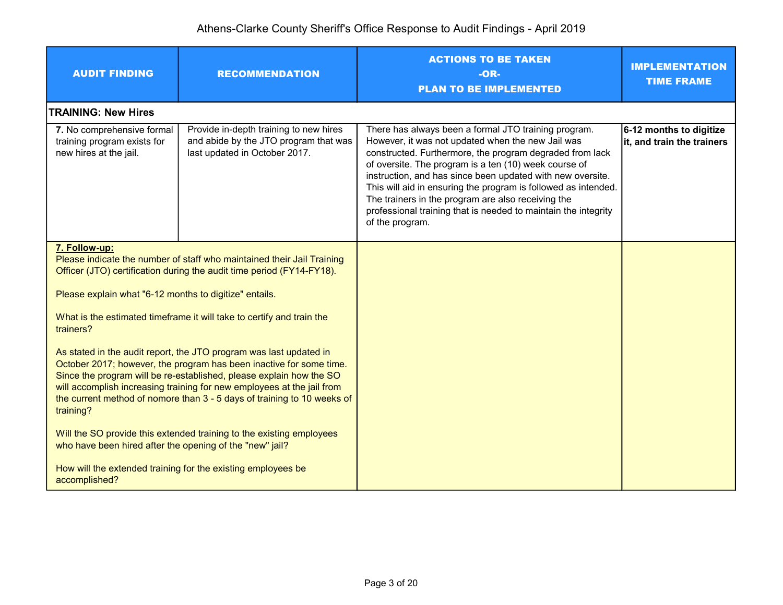| <b>AUDIT FINDING</b>                                                                                                                                                                                                                                                                                                                                                               | <b>RECOMMENDATION</b>                                                                                            | <b>ACTIONS TO BE TAKEN</b><br>$-OR-$<br><b>PLAN TO BE IMPLEMENTED</b>                                                                                                                                                                                                                                                                                                                                                                                                                                     | <b>IMPLEMENTATION</b><br><b>TIME FRAME</b>            |
|------------------------------------------------------------------------------------------------------------------------------------------------------------------------------------------------------------------------------------------------------------------------------------------------------------------------------------------------------------------------------------|------------------------------------------------------------------------------------------------------------------|-----------------------------------------------------------------------------------------------------------------------------------------------------------------------------------------------------------------------------------------------------------------------------------------------------------------------------------------------------------------------------------------------------------------------------------------------------------------------------------------------------------|-------------------------------------------------------|
| <b>TRAINING: New Hires</b>                                                                                                                                                                                                                                                                                                                                                         |                                                                                                                  |                                                                                                                                                                                                                                                                                                                                                                                                                                                                                                           |                                                       |
| 7. No comprehensive formal<br>training program exists for<br>new hires at the jail.                                                                                                                                                                                                                                                                                                | Provide in-depth training to new hires<br>and abide by the JTO program that was<br>last updated in October 2017. | There has always been a formal JTO training program.<br>However, it was not updated when the new Jail was<br>constructed. Furthermore, the program degraded from lack<br>of oversite. The program is a ten (10) week course of<br>instruction, and has since been updated with new oversite.<br>This will aid in ensuring the program is followed as intended.<br>The trainers in the program are also receiving the<br>professional training that is needed to maintain the integrity<br>of the program. | 6-12 months to digitize<br>it, and train the trainers |
| 7. Follow-up:<br>Please indicate the number of staff who maintained their Jail Training<br>Officer (JTO) certification during the audit time period (FY14-FY18).                                                                                                                                                                                                                   |                                                                                                                  |                                                                                                                                                                                                                                                                                                                                                                                                                                                                                                           |                                                       |
| Please explain what "6-12 months to digitize" entails.                                                                                                                                                                                                                                                                                                                             |                                                                                                                  |                                                                                                                                                                                                                                                                                                                                                                                                                                                                                                           |                                                       |
| What is the estimated timeframe it will take to certify and train the<br>trainers?                                                                                                                                                                                                                                                                                                 |                                                                                                                  |                                                                                                                                                                                                                                                                                                                                                                                                                                                                                                           |                                                       |
| As stated in the audit report, the JTO program was last updated in<br>October 2017; however, the program has been inactive for some time.<br>Since the program will be re-established, please explain how the SO<br>will accomplish increasing training for new employees at the jail from<br>the current method of nomore than 3 - 5 days of training to 10 weeks of<br>training? |                                                                                                                  |                                                                                                                                                                                                                                                                                                                                                                                                                                                                                                           |                                                       |
| who have been hired after the opening of the "new" jail?                                                                                                                                                                                                                                                                                                                           | Will the SO provide this extended training to the existing employees                                             |                                                                                                                                                                                                                                                                                                                                                                                                                                                                                                           |                                                       |
| accomplished?                                                                                                                                                                                                                                                                                                                                                                      | How will the extended training for the existing employees be                                                     |                                                                                                                                                                                                                                                                                                                                                                                                                                                                                                           |                                                       |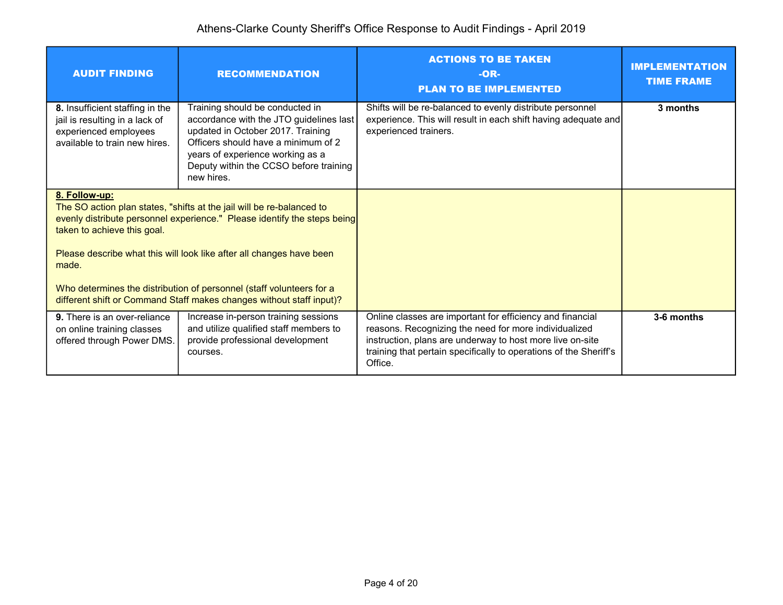| <b>AUDIT FINDING</b>                                                                                                                                                                                                                                                      | <b>RECOMMENDATION</b>                                                                                                                                                                                                                              | <b>ACTIONS TO BE TAKEN</b><br>$-OR-$<br><b>PLAN TO BE IMPLEMENTED</b>                                                                                                                                                                                           | <b>IMPLEMENTATION</b><br><b>TIME FRAME</b> |
|---------------------------------------------------------------------------------------------------------------------------------------------------------------------------------------------------------------------------------------------------------------------------|----------------------------------------------------------------------------------------------------------------------------------------------------------------------------------------------------------------------------------------------------|-----------------------------------------------------------------------------------------------------------------------------------------------------------------------------------------------------------------------------------------------------------------|--------------------------------------------|
| 8. Insufficient staffing in the<br>jail is resulting in a lack of<br>experienced employees<br>available to train new hires.                                                                                                                                               | Training should be conducted in<br>accordance with the JTO guidelines last<br>updated in October 2017. Training<br>Officers should have a minimum of 2<br>years of experience working as a<br>Deputy within the CCSO before training<br>new hires. | Shifts will be re-balanced to evenly distribute personnel<br>experience. This will result in each shift having adequate and<br>experienced trainers.                                                                                                            | 3 months                                   |
| 8. Follow-up:<br>The SO action plan states, "shifts at the jail will be re-balanced to<br>evenly distribute personnel experience." Please identify the steps being<br>taken to achieve this goal.<br>Please describe what this will look like after all changes have been |                                                                                                                                                                                                                                                    |                                                                                                                                                                                                                                                                 |                                            |
| made.                                                                                                                                                                                                                                                                     | Who determines the distribution of personnel (staff volunteers for a<br>different shift or Command Staff makes changes without staff input)?                                                                                                       |                                                                                                                                                                                                                                                                 |                                            |
| <b>9.</b> There is an over-reliance<br>on online training classes<br>offered through Power DMS.                                                                                                                                                                           | Increase in-person training sessions<br>and utilize qualified staff members to<br>provide professional development<br>courses.                                                                                                                     | Online classes are important for efficiency and financial<br>reasons. Recognizing the need for more individualized<br>instruction, plans are underway to host more live on-site<br>training that pertain specifically to operations of the Sheriff's<br>Office. | 3-6 months                                 |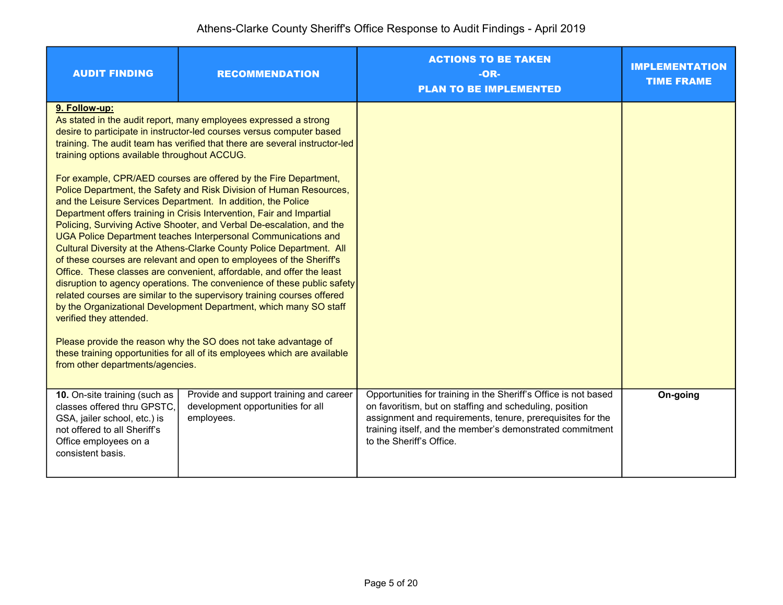| <b>AUDIT FINDING</b>                                                                                                                                                       | <b>RECOMMENDATION</b>                                                                                                                                                                                                                                                                                                                                                                                                                                                                                                                                                                                                                                                                                                                                                                                                                                                                                                                                                                                                                                                                                                                                                                                                                                        | <b>ACTIONS TO BE TAKEN</b><br>$-OR-$<br><b>PLAN TO BE IMPLEMENTED</b>                                                                                                                                                                                                             | <b>IMPLEMENTATION</b><br><b>TIME FRAME</b> |
|----------------------------------------------------------------------------------------------------------------------------------------------------------------------------|--------------------------------------------------------------------------------------------------------------------------------------------------------------------------------------------------------------------------------------------------------------------------------------------------------------------------------------------------------------------------------------------------------------------------------------------------------------------------------------------------------------------------------------------------------------------------------------------------------------------------------------------------------------------------------------------------------------------------------------------------------------------------------------------------------------------------------------------------------------------------------------------------------------------------------------------------------------------------------------------------------------------------------------------------------------------------------------------------------------------------------------------------------------------------------------------------------------------------------------------------------------|-----------------------------------------------------------------------------------------------------------------------------------------------------------------------------------------------------------------------------------------------------------------------------------|--------------------------------------------|
| 9. Follow-up:<br>training options available throughout ACCUG.<br>verified they attended.<br>from other departments/agencies.                                               | As stated in the audit report, many employees expressed a strong<br>desire to participate in instructor-led courses versus computer based<br>training. The audit team has verified that there are several instructor-led<br>For example, CPR/AED courses are offered by the Fire Department,<br>Police Department, the Safety and Risk Division of Human Resources,<br>and the Leisure Services Department. In addition, the Police<br>Department offers training in Crisis Intervention, Fair and Impartial<br>Policing, Surviving Active Shooter, and Verbal De-escalation, and the<br>UGA Police Department teaches Interpersonal Communications and<br>Cultural Diversity at the Athens-Clarke County Police Department. All<br>of these courses are relevant and open to employees of the Sheriff's<br>Office. These classes are convenient, affordable, and offer the least<br>disruption to agency operations. The convenience of these public safety<br>related courses are similar to the supervisory training courses offered<br>by the Organizational Development Department, which many SO staff<br>Please provide the reason why the SO does not take advantage of<br>these training opportunities for all of its employees which are available |                                                                                                                                                                                                                                                                                   |                                            |
| 10. On-site training (such as<br>classes offered thru GPSTC.<br>GSA, jailer school, etc.) is<br>not offered to all Sheriff's<br>Office employees on a<br>consistent basis. | Provide and support training and career<br>development opportunities for all<br>employees.                                                                                                                                                                                                                                                                                                                                                                                                                                                                                                                                                                                                                                                                                                                                                                                                                                                                                                                                                                                                                                                                                                                                                                   | Opportunities for training in the Sheriff's Office is not based<br>on favoritism, but on staffing and scheduling, position<br>assignment and requirements, tenure, prerequisites for the<br>training itself, and the member's demonstrated commitment<br>to the Sheriff's Office. | On-going                                   |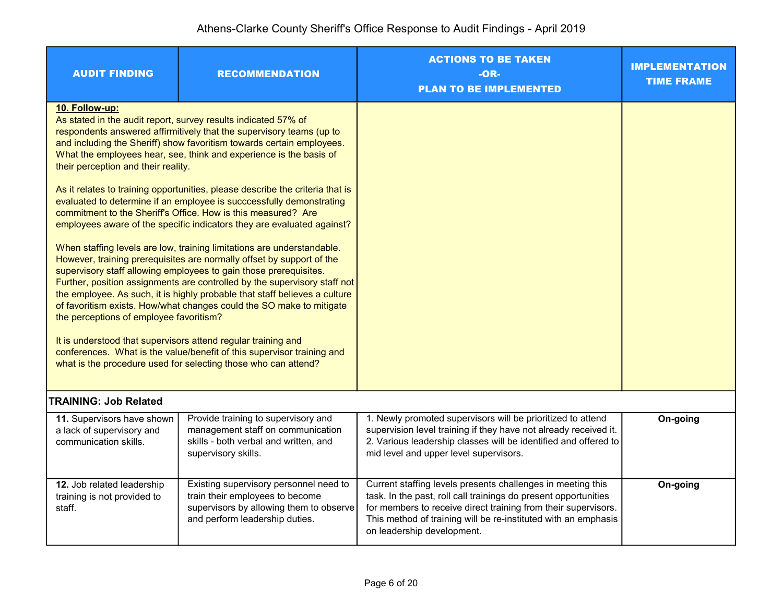| <b>AUDIT FINDING</b>                                                             | <b>RECOMMENDATION</b>                                                                                                                                                                                                                                                                                                                                                                                                                                                                                                                                                                                                                                                                                                                                                                                           | <b>ACTIONS TO BE TAKEN</b><br>-OR-<br><b>PLAN TO BE IMPLEMENTED</b>                                                                                                                                                                                                                              | <b>IMPLEMENTATION</b><br><b>TIME FRAME</b> |
|----------------------------------------------------------------------------------|-----------------------------------------------------------------------------------------------------------------------------------------------------------------------------------------------------------------------------------------------------------------------------------------------------------------------------------------------------------------------------------------------------------------------------------------------------------------------------------------------------------------------------------------------------------------------------------------------------------------------------------------------------------------------------------------------------------------------------------------------------------------------------------------------------------------|--------------------------------------------------------------------------------------------------------------------------------------------------------------------------------------------------------------------------------------------------------------------------------------------------|--------------------------------------------|
| 10. Follow-up:<br>their perception and their reality.                            | As stated in the audit report, survey results indicated 57% of<br>respondents answered affirmitively that the supervisory teams (up to<br>and including the Sheriff) show favoritism towards certain employees.<br>What the employees hear, see, think and experience is the basis of<br>As it relates to training opportunities, please describe the criteria that is<br>evaluated to determine if an employee is succcessfully demonstrating                                                                                                                                                                                                                                                                                                                                                                  |                                                                                                                                                                                                                                                                                                  |                                            |
| the perceptions of employee favoritism?                                          | commitment to the Sheriff's Office. How is this measured? Are<br>employees aware of the specific indicators they are evaluated against?<br>When staffing levels are low, training limitations are understandable.<br>However, training prerequisites are normally offset by support of the<br>supervisory staff allowing employees to gain those prerequisites.<br>Further, position assignments are controlled by the supervisory staff not<br>the employee. As such, it is highly probable that staff believes a culture<br>of favoritism exists. How/what changes could the SO make to mitigate<br>It is understood that supervisors attend regular training and<br>conferences. What is the value/benefit of this supervisor training and<br>what is the procedure used for selecting those who can attend? |                                                                                                                                                                                                                                                                                                  |                                            |
| <b>TRAINING: Job Related</b>                                                     |                                                                                                                                                                                                                                                                                                                                                                                                                                                                                                                                                                                                                                                                                                                                                                                                                 |                                                                                                                                                                                                                                                                                                  |                                            |
| 11. Supervisors have shown<br>a lack of supervisory and<br>communication skills. | Provide training to supervisory and<br>management staff on communication<br>skills - both verbal and written, and<br>supervisory skills.                                                                                                                                                                                                                                                                                                                                                                                                                                                                                                                                                                                                                                                                        | 1. Newly promoted supervisors will be prioritized to attend<br>supervision level training if they have not already received it.<br>2. Various leadership classes will be identified and offered to<br>mid level and upper level supervisors.                                                     | On-going                                   |
| 12. Job related leadership<br>training is not provided to<br>staff.              | Existing supervisory personnel need to<br>train their employees to become<br>supervisors by allowing them to observe<br>and perform leadership duties.                                                                                                                                                                                                                                                                                                                                                                                                                                                                                                                                                                                                                                                          | Current staffing levels presents challenges in meeting this<br>task. In the past, roll call trainings do present opportunities<br>for members to receive direct training from their supervisors.<br>This method of training will be re-instituted with an emphasis<br>on leadership development. | On-going                                   |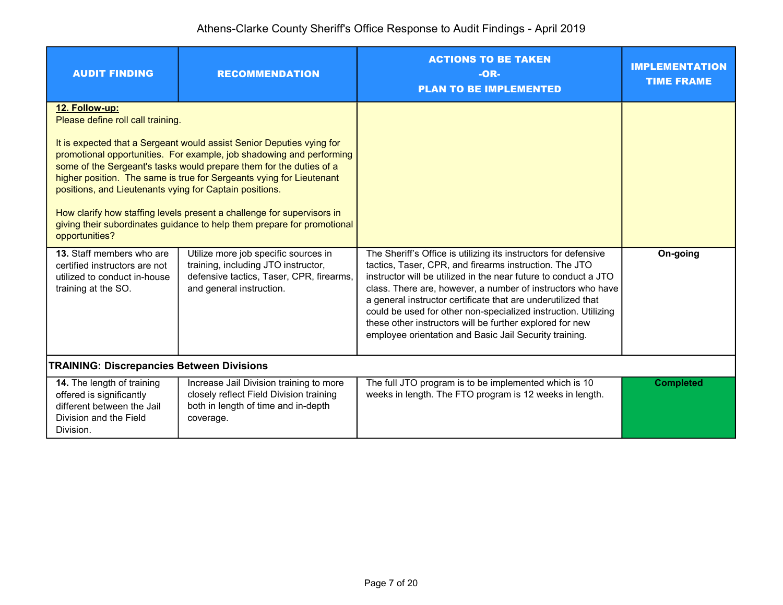## Athens-Clarke County Sheriff's Office Response to Audit Findings - April 2019

| <b>AUDIT FINDING</b>                                                                                                             | <b>RECOMMENDATION</b>                                                                                                                                                                                                                                                                                                                                                                                                                             | <b>ACTIONS TO BE TAKEN</b><br>$-OR-$<br><b>PLAN TO BE IMPLEMENTED</b>                                                                                                                                                                                                                                                                                                                                                                                                                                               | <b>IMPLEMENTATION</b><br><b>TIME FRAME</b> |
|----------------------------------------------------------------------------------------------------------------------------------|---------------------------------------------------------------------------------------------------------------------------------------------------------------------------------------------------------------------------------------------------------------------------------------------------------------------------------------------------------------------------------------------------------------------------------------------------|---------------------------------------------------------------------------------------------------------------------------------------------------------------------------------------------------------------------------------------------------------------------------------------------------------------------------------------------------------------------------------------------------------------------------------------------------------------------------------------------------------------------|--------------------------------------------|
| 12. Follow-up:<br>Please define roll call training.<br>positions, and Lieutenants vying for Captain positions.<br>opportunities? | It is expected that a Sergeant would assist Senior Deputies vying for<br>promotional opportunities. For example, job shadowing and performing<br>some of the Sergeant's tasks would prepare them for the duties of a<br>higher position. The same is true for Sergeants vying for Lieutenant<br>How clarify how staffing levels present a challenge for supervisors in<br>giving their subordinates guidance to help them prepare for promotional |                                                                                                                                                                                                                                                                                                                                                                                                                                                                                                                     |                                            |
| 13. Staff members who are<br>certified instructors are not<br>utilized to conduct in-house<br>training at the SO.                | Utilize more job specific sources in<br>training, including JTO instructor,<br>defensive tactics, Taser, CPR, firearms,<br>and general instruction.                                                                                                                                                                                                                                                                                               | The Sheriff's Office is utilizing its instructors for defensive<br>tactics, Taser, CPR, and firearms instruction. The JTO<br>instructor will be utilized in the near future to conduct a JTO<br>class. There are, however, a number of instructors who have<br>a general instructor certificate that are underutilized that<br>could be used for other non-specialized instruction. Utilizing<br>these other instructors will be further explored for new<br>employee orientation and Basic Jail Security training. | On-going                                   |
| <b>TRAINING: Discrepancies Between Divisions</b>                                                                                 |                                                                                                                                                                                                                                                                                                                                                                                                                                                   |                                                                                                                                                                                                                                                                                                                                                                                                                                                                                                                     |                                            |
| 14. The length of training<br>offered is significantly<br>different between the Jail<br>Division and the Field<br>Division.      | Increase Jail Division training to more<br>closely reflect Field Division training<br>both in length of time and in-depth<br>coverage.                                                                                                                                                                                                                                                                                                            | The full JTO program is to be implemented which is 10<br>weeks in length. The FTO program is 12 weeks in length.                                                                                                                                                                                                                                                                                                                                                                                                    | <b>Completed</b>                           |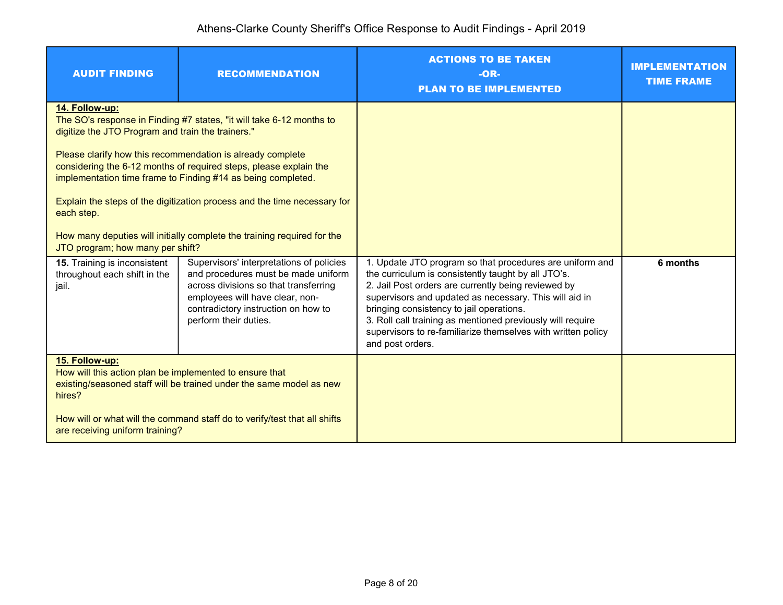| <b>AUDIT FINDING</b>                                                                                                                                                                                                                                                       | <b>RECOMMENDATION</b>                                                                                                                                                                                                                                                                                                                                                                                                          | <b>ACTIONS TO BE TAKEN</b><br>$-OR-$<br><b>PLAN TO BE IMPLEMENTED</b>                                                                                                                                                                                                                                                                                                                                                          | <b>IMPLEMENTATION</b><br><b>TIME FRAME</b> |
|----------------------------------------------------------------------------------------------------------------------------------------------------------------------------------------------------------------------------------------------------------------------------|--------------------------------------------------------------------------------------------------------------------------------------------------------------------------------------------------------------------------------------------------------------------------------------------------------------------------------------------------------------------------------------------------------------------------------|--------------------------------------------------------------------------------------------------------------------------------------------------------------------------------------------------------------------------------------------------------------------------------------------------------------------------------------------------------------------------------------------------------------------------------|--------------------------------------------|
| 14. Follow-up:<br>digitize the JTO Program and train the trainers."<br>each step.<br>JTO program; how many per shift?                                                                                                                                                      | The SO's response in Finding #7 states, "it will take 6-12 months to<br>Please clarify how this recommendation is already complete<br>considering the 6-12 months of required steps, please explain the<br>implementation time frame to Finding #14 as being completed.<br>Explain the steps of the digitization process and the time necessary for<br>How many deputies will initially complete the training required for the |                                                                                                                                                                                                                                                                                                                                                                                                                                |                                            |
| 15. Training is inconsistent<br>throughout each shift in the<br>jail.                                                                                                                                                                                                      | Supervisors' interpretations of policies<br>and procedures must be made uniform<br>across divisions so that transferring<br>employees will have clear, non-<br>contradictory instruction on how to<br>perform their duties.                                                                                                                                                                                                    | 1. Update JTO program so that procedures are uniform and<br>the curriculum is consistently taught by all JTO's.<br>2. Jail Post orders are currently being reviewed by<br>supervisors and updated as necessary. This will aid in<br>bringing consistency to jail operations.<br>3. Roll call training as mentioned previously will require<br>supervisors to re-familiarize themselves with written policy<br>and post orders. | 6 months                                   |
| 15. Follow-up:<br>How will this action plan be implemented to ensure that<br>existing/seasoned staff will be trained under the same model as new<br>hires?<br>How will or what will the command staff do to verify/test that all shifts<br>are receiving uniform training? |                                                                                                                                                                                                                                                                                                                                                                                                                                |                                                                                                                                                                                                                                                                                                                                                                                                                                |                                            |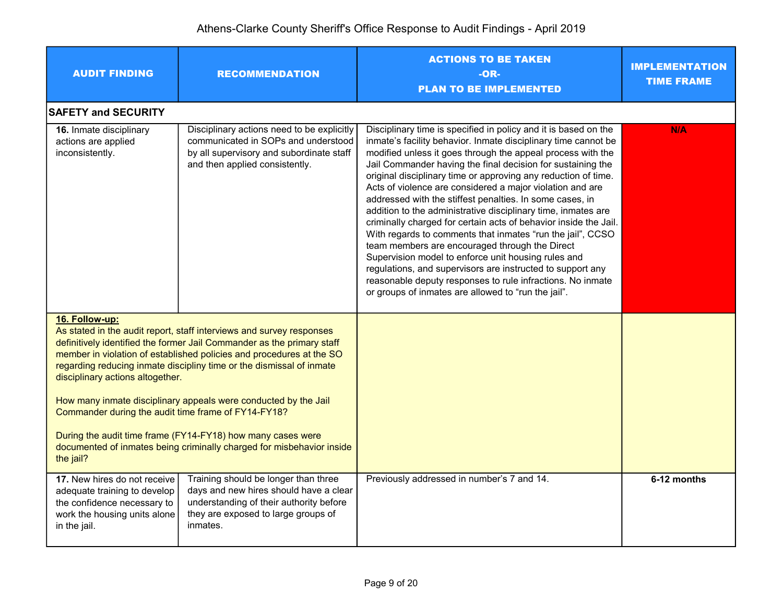| <b>AUDIT FINDING</b>                                                                                                                        | <b>RECOMMENDATION</b>                                                                                                                                                                                                                                                                                                                                                                                                                                                                                     | <b>ACTIONS TO BE TAKEN</b><br>-OR-<br><b>PLAN TO BE IMPLEMENTED</b>                                                                                                                                                                                                                                                                                                                                                                                                                                                                                                                                                                                                                                                                                                                                                                                                                                                                                       | <b>IMPLEMENTATION</b><br><b>TIME FRAME</b> |
|---------------------------------------------------------------------------------------------------------------------------------------------|-----------------------------------------------------------------------------------------------------------------------------------------------------------------------------------------------------------------------------------------------------------------------------------------------------------------------------------------------------------------------------------------------------------------------------------------------------------------------------------------------------------|-----------------------------------------------------------------------------------------------------------------------------------------------------------------------------------------------------------------------------------------------------------------------------------------------------------------------------------------------------------------------------------------------------------------------------------------------------------------------------------------------------------------------------------------------------------------------------------------------------------------------------------------------------------------------------------------------------------------------------------------------------------------------------------------------------------------------------------------------------------------------------------------------------------------------------------------------------------|--------------------------------------------|
| <b>SAFETY and SECURITY</b>                                                                                                                  |                                                                                                                                                                                                                                                                                                                                                                                                                                                                                                           |                                                                                                                                                                                                                                                                                                                                                                                                                                                                                                                                                                                                                                                                                                                                                                                                                                                                                                                                                           |                                            |
| 16. Inmate disciplinary<br>actions are applied<br>inconsistently.                                                                           | Disciplinary actions need to be explicitly<br>communicated in SOPs and understood<br>by all supervisory and subordinate staff<br>and then applied consistently.                                                                                                                                                                                                                                                                                                                                           | Disciplinary time is specified in policy and it is based on the<br>inmate's facility behavior. Inmate disciplinary time cannot be<br>modified unless it goes through the appeal process with the<br>Jail Commander having the final decision for sustaining the<br>original disciplinary time or approving any reduction of time.<br>Acts of violence are considered a major violation and are<br>addressed with the stiffest penalties. In some cases, in<br>addition to the administrative disciplinary time, inmates are<br>criminally charged for certain acts of behavior inside the Jail.<br>With regards to comments that inmates "run the jail", CCSO<br>team members are encouraged through the Direct<br>Supervision model to enforce unit housing rules and<br>regulations, and supervisors are instructed to support any<br>reasonable deputy responses to rule infractions. No inmate<br>or groups of inmates are allowed to "run the jail". | <b>N/A</b>                                 |
| 16. Follow-up:<br>disciplinary actions altogether.<br>Commander during the audit time frame of FY14-FY18?<br>the jail?                      | As stated in the audit report, staff interviews and survey responses<br>definitively identified the former Jail Commander as the primary staff<br>member in violation of established policies and procedures at the SO<br>regarding reducing inmate discipliny time or the dismissal of inmate<br>How many inmate disciplinary appeals were conducted by the Jail<br>During the audit time frame (FY14-FY18) how many cases were<br>documented of inmates being criminally charged for misbehavior inside |                                                                                                                                                                                                                                                                                                                                                                                                                                                                                                                                                                                                                                                                                                                                                                                                                                                                                                                                                           |                                            |
| 17. New hires do not receive<br>adequate training to develop<br>the confidence necessary to<br>work the housing units alone<br>in the jail. | Training should be longer than three<br>days and new hires should have a clear<br>understanding of their authority before<br>they are exposed to large groups of<br>inmates.                                                                                                                                                                                                                                                                                                                              | Previously addressed in number's 7 and 14.                                                                                                                                                                                                                                                                                                                                                                                                                                                                                                                                                                                                                                                                                                                                                                                                                                                                                                                | 6-12 months                                |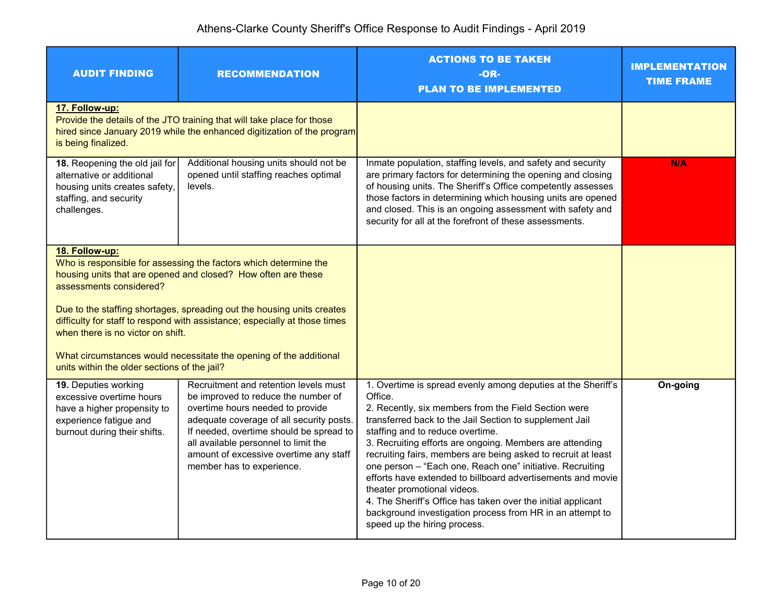| <b>AUDIT FINDING</b>                                                                                                                      | <b>RECOMMENDATION</b>                                                                                                                                                                                                                                                                                                                                           | <b>ACTIONS TO BE TAKEN</b><br>$-OR-$<br><b>PLAN TO BE IMPLEMENTED</b>                                                                                                                                                                                                                                                                                                                                                                                                                                                                                                                                                                                                               | <b>IMPLEMENTATION</b><br><b>TIME FRAME</b> |
|-------------------------------------------------------------------------------------------------------------------------------------------|-----------------------------------------------------------------------------------------------------------------------------------------------------------------------------------------------------------------------------------------------------------------------------------------------------------------------------------------------------------------|-------------------------------------------------------------------------------------------------------------------------------------------------------------------------------------------------------------------------------------------------------------------------------------------------------------------------------------------------------------------------------------------------------------------------------------------------------------------------------------------------------------------------------------------------------------------------------------------------------------------------------------------------------------------------------------|--------------------------------------------|
| 17. Follow-up:<br>is being finalized.                                                                                                     | Provide the details of the JTO training that will take place for those<br>hired since January 2019 while the enhanced digitization of the program                                                                                                                                                                                                               |                                                                                                                                                                                                                                                                                                                                                                                                                                                                                                                                                                                                                                                                                     |                                            |
| 18. Reopening the old jail for<br>alternative or additional<br>housing units creates safety,<br>staffing, and security<br>challenges.     | Additional housing units should not be<br>opened until staffing reaches optimal<br>levels.                                                                                                                                                                                                                                                                      | Inmate population, staffing levels, and safety and security<br>are primary factors for determining the opening and closing<br>of housing units. The Sheriff's Office competently assesses<br>those factors in determining which housing units are opened<br>and closed. This is an ongoing assessment with safety and<br>security for all at the forefront of these assessments.                                                                                                                                                                                                                                                                                                    | <b>N/A</b>                                 |
| 18. Follow-up:<br>assessments considered?<br>when there is no victor on shift.<br>units within the older sections of the jail?            | Who is responsible for assessing the factors which determine the<br>housing units that are opened and closed? How often are these<br>Due to the staffing shortages, spreading out the housing units creates<br>difficulty for staff to respond with assistance; especially at those times<br>What circumstances would necessitate the opening of the additional |                                                                                                                                                                                                                                                                                                                                                                                                                                                                                                                                                                                                                                                                                     |                                            |
| 19. Deputies working<br>excessive overtime hours<br>have a higher propensity to<br>experience fatigue and<br>burnout during their shifts. | Recruitment and retention levels must<br>be improved to reduce the number of<br>overtime hours needed to provide<br>adequate coverage of all security posts.<br>If needed, overtime should be spread to<br>all available personnel to limit the<br>amount of excessive overtime any staff<br>member has to experience.                                          | 1. Overtime is spread evenly among deputies at the Sheriff's<br>Office.<br>2. Recently, six members from the Field Section were<br>transferred back to the Jail Section to supplement Jail<br>staffing and to reduce overtime.<br>3. Recruiting efforts are ongoing. Members are attending<br>recruiting fairs, members are being asked to recruit at least<br>one person - "Each one, Reach one" initiative. Recruiting<br>efforts have extended to billboard advertisements and movie<br>theater promotional videos.<br>4. The Sheriff's Office has taken over the initial applicant<br>background investigation process from HR in an attempt to<br>speed up the hiring process. | On-going                                   |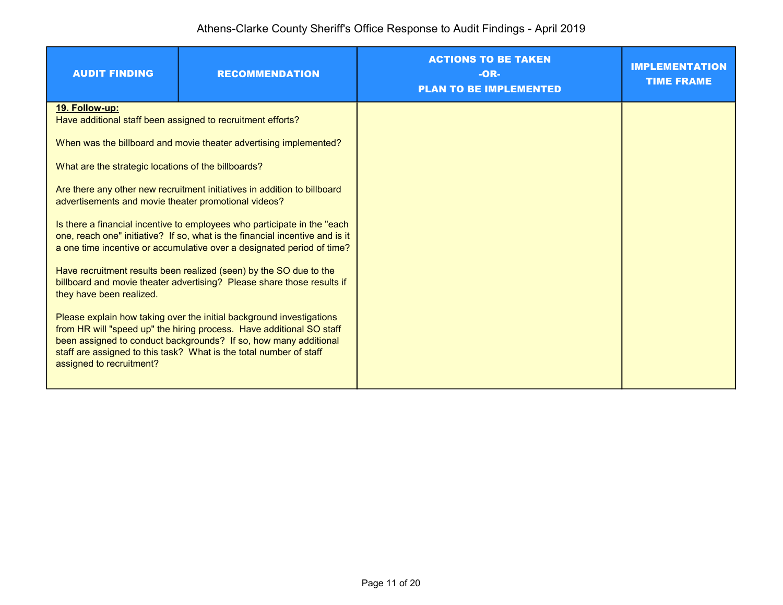| <b>AUDIT FINDING</b>                                                                                                                                                                                                                                                                                               | <b>RECOMMENDATION</b>                                             | <b>ACTIONS TO BE TAKEN</b><br>$-OR-$<br><b>PLAN TO BE IMPLEMENTED</b> | <b>IMPLEMENTATION</b><br><b>TIME FRAME</b> |
|--------------------------------------------------------------------------------------------------------------------------------------------------------------------------------------------------------------------------------------------------------------------------------------------------------------------|-------------------------------------------------------------------|-----------------------------------------------------------------------|--------------------------------------------|
| 19. Follow-up:<br>Have additional staff been assigned to recruitment efforts?                                                                                                                                                                                                                                      |                                                                   |                                                                       |                                            |
|                                                                                                                                                                                                                                                                                                                    | When was the billboard and movie theater advertising implemented? |                                                                       |                                            |
| What are the strategic locations of the billboards?                                                                                                                                                                                                                                                                |                                                                   |                                                                       |                                            |
| Are there any other new recruitment initiatives in addition to billboard<br>advertisements and movie theater promotional videos?                                                                                                                                                                                   |                                                                   |                                                                       |                                            |
| Is there a financial incentive to employees who participate in the "each"<br>one, reach one" initiative? If so, what is the financial incentive and is it<br>a one time incentive or accumulative over a designated period of time?                                                                                |                                                                   |                                                                       |                                            |
| Have recruitment results been realized (seen) by the SO due to the<br>billboard and movie theater advertising? Please share those results if<br>they have been realized.                                                                                                                                           |                                                                   |                                                                       |                                            |
| Please explain how taking over the initial background investigations<br>from HR will "speed up" the hiring process. Have additional SO staff<br>been assigned to conduct backgrounds? If so, how many additional<br>staff are assigned to this task? What is the total number of staff<br>assigned to recruitment? |                                                                   |                                                                       |                                            |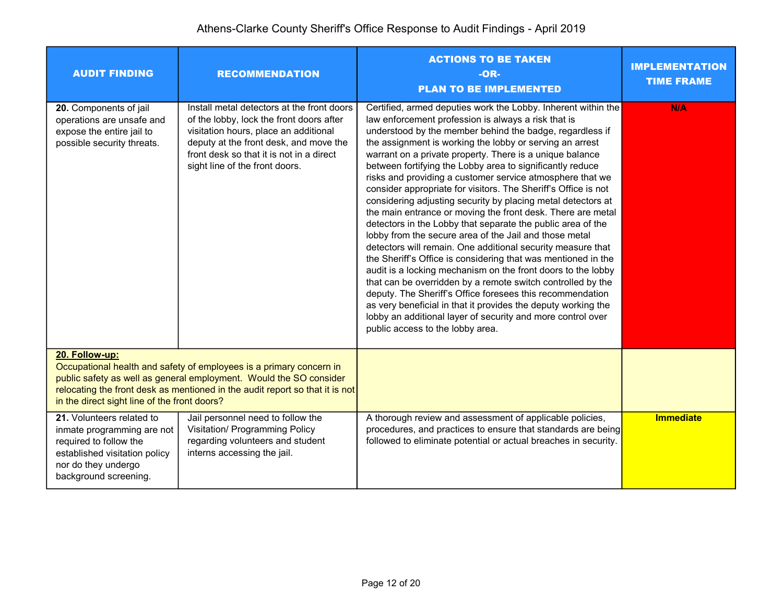| <b>AUDIT FINDING</b>                                                                                                                                                                                                                                                                        | <b>RECOMMENDATION</b>                                                                                                                                                                                                                                   | <b>ACTIONS TO BE TAKEN</b><br>-OR-<br><b>PLAN TO BE IMPLEMENTED</b>                                                                                                                                                                                                                                                                                                                                                                                                                                                                                                                                                                                                                                                                                                                                                                                                                                                                                                                                                                                                                                                                                                                                                                                          | <b>IMPLEMENTATION</b><br><b>TIME FRAME</b> |
|---------------------------------------------------------------------------------------------------------------------------------------------------------------------------------------------------------------------------------------------------------------------------------------------|---------------------------------------------------------------------------------------------------------------------------------------------------------------------------------------------------------------------------------------------------------|--------------------------------------------------------------------------------------------------------------------------------------------------------------------------------------------------------------------------------------------------------------------------------------------------------------------------------------------------------------------------------------------------------------------------------------------------------------------------------------------------------------------------------------------------------------------------------------------------------------------------------------------------------------------------------------------------------------------------------------------------------------------------------------------------------------------------------------------------------------------------------------------------------------------------------------------------------------------------------------------------------------------------------------------------------------------------------------------------------------------------------------------------------------------------------------------------------------------------------------------------------------|--------------------------------------------|
| 20. Components of jail<br>operations are unsafe and<br>expose the entire jail to<br>possible security threats.                                                                                                                                                                              | Install metal detectors at the front doors<br>of the lobby, lock the front doors after<br>visitation hours, place an additional<br>deputy at the front desk, and move the<br>front desk so that it is not in a direct<br>sight line of the front doors. | Certified, armed deputies work the Lobby. Inherent within the<br>law enforcement profession is always a risk that is<br>understood by the member behind the badge, regardless if<br>the assignment is working the lobby or serving an arrest<br>warrant on a private property. There is a unique balance<br>between fortifying the Lobby area to significantly reduce<br>risks and providing a customer service atmosphere that we<br>consider appropriate for visitors. The Sheriff's Office is not<br>considering adjusting security by placing metal detectors at<br>the main entrance or moving the front desk. There are metal<br>detectors in the Lobby that separate the public area of the<br>lobby from the secure area of the Jail and those metal<br>detectors will remain. One additional security measure that<br>the Sheriff's Office is considering that was mentioned in the<br>audit is a locking mechanism on the front doors to the lobby<br>that can be overridden by a remote switch controlled by the<br>deputy. The Sheriff's Office foresees this recommendation<br>as very beneficial in that it provides the deputy working the<br>lobby an additional layer of security and more control over<br>public access to the lobby area. | N/A                                        |
| 20. Follow-up:<br>Occupational health and safety of employees is a primary concern in<br>public safety as well as general employment. Would the SO consider<br>relocating the front desk as mentioned in the audit report so that it is not<br>in the direct sight line of the front doors? |                                                                                                                                                                                                                                                         |                                                                                                                                                                                                                                                                                                                                                                                                                                                                                                                                                                                                                                                                                                                                                                                                                                                                                                                                                                                                                                                                                                                                                                                                                                                              |                                            |
| 21. Volunteers related to<br>inmate programming are not<br>required to follow the<br>established visitation policy<br>nor do they undergo<br>background screening.                                                                                                                          | Jail personnel need to follow the<br><b>Visitation/ Programming Policy</b><br>regarding volunteers and student<br>interns accessing the jail.                                                                                                           | A thorough review and assessment of applicable policies,<br>procedures, and practices to ensure that standards are being<br>followed to eliminate potential or actual breaches in security.                                                                                                                                                                                                                                                                                                                                                                                                                                                                                                                                                                                                                                                                                                                                                                                                                                                                                                                                                                                                                                                                  | <b>Immediate</b>                           |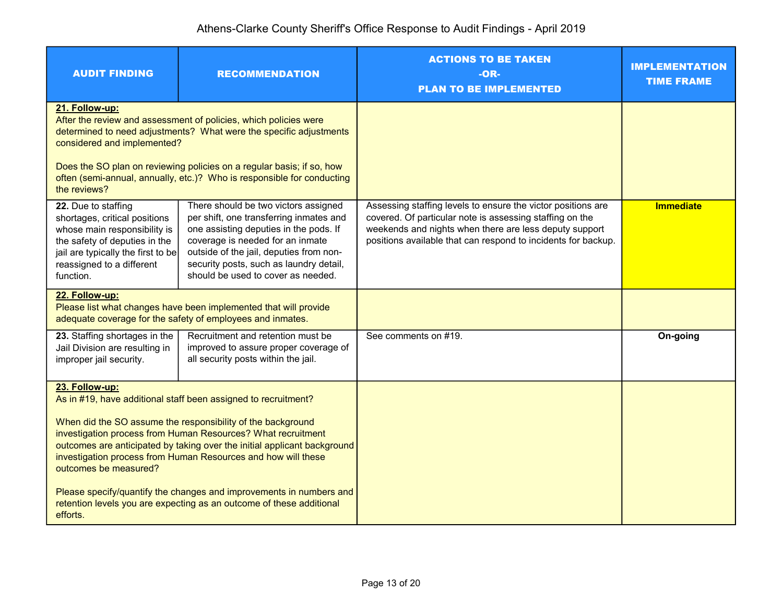| <b>AUDIT FINDING</b>                                                                                                                                                                                                                                                                              | <b>RECOMMENDATION</b>                                                                                                                                                                                                                                                                     | <b>ACTIONS TO BE TAKEN</b><br>-OR-<br><b>PLAN TO BE IMPLEMENTED</b>                                                                                                                                                                                 | <b>IMPLEMENTATION</b><br><b>TIME FRAME</b> |
|---------------------------------------------------------------------------------------------------------------------------------------------------------------------------------------------------------------------------------------------------------------------------------------------------|-------------------------------------------------------------------------------------------------------------------------------------------------------------------------------------------------------------------------------------------------------------------------------------------|-----------------------------------------------------------------------------------------------------------------------------------------------------------------------------------------------------------------------------------------------------|--------------------------------------------|
| 21. Follow-up:<br>After the review and assessment of policies, which policies were<br>determined to need adjustments? What were the specific adjustments<br>considered and implemented?                                                                                                           |                                                                                                                                                                                                                                                                                           |                                                                                                                                                                                                                                                     |                                            |
| Does the SO plan on reviewing policies on a regular basis; if so, how<br>often (semi-annual, annually, etc.)? Who is responsible for conducting<br>the reviews?                                                                                                                                   |                                                                                                                                                                                                                                                                                           |                                                                                                                                                                                                                                                     |                                            |
| 22. Due to staffing<br>shortages, critical positions<br>whose main responsibility is<br>the safety of deputies in the<br>jail are typically the first to be<br>reassigned to a different<br>function.                                                                                             | There should be two victors assigned<br>per shift, one transferring inmates and<br>one assisting deputies in the pods. If<br>coverage is needed for an inmate<br>outside of the jail, deputies from non-<br>security posts, such as laundry detail,<br>should be used to cover as needed. | Assessing staffing levels to ensure the victor positions are<br>covered. Of particular note is assessing staffing on the<br>weekends and nights when there are less deputy support<br>positions available that can respond to incidents for backup. | <b>Immediate</b>                           |
| 22. Follow-up:<br>Please list what changes have been implemented that will provide<br>adequate coverage for the safety of employees and inmates.                                                                                                                                                  |                                                                                                                                                                                                                                                                                           |                                                                                                                                                                                                                                                     |                                            |
| 23. Staffing shortages in the<br>Jail Division are resulting in<br>improper jail security.                                                                                                                                                                                                        | Recruitment and retention must be<br>improved to assure proper coverage of<br>all security posts within the jail.                                                                                                                                                                         | See comments on #19.                                                                                                                                                                                                                                | On-going                                   |
| 23. Follow-up:<br>As in #19, have additional staff been assigned to recruitment?                                                                                                                                                                                                                  |                                                                                                                                                                                                                                                                                           |                                                                                                                                                                                                                                                     |                                            |
| When did the SO assume the responsibility of the background<br>investigation process from Human Resources? What recruitment<br>outcomes are anticipated by taking over the initial applicant background<br>investigation process from Human Resources and how will these<br>outcomes be measured? |                                                                                                                                                                                                                                                                                           |                                                                                                                                                                                                                                                     |                                            |
| Please specify/quantify the changes and improvements in numbers and<br>retention levels you are expecting as an outcome of these additional<br>efforts.                                                                                                                                           |                                                                                                                                                                                                                                                                                           |                                                                                                                                                                                                                                                     |                                            |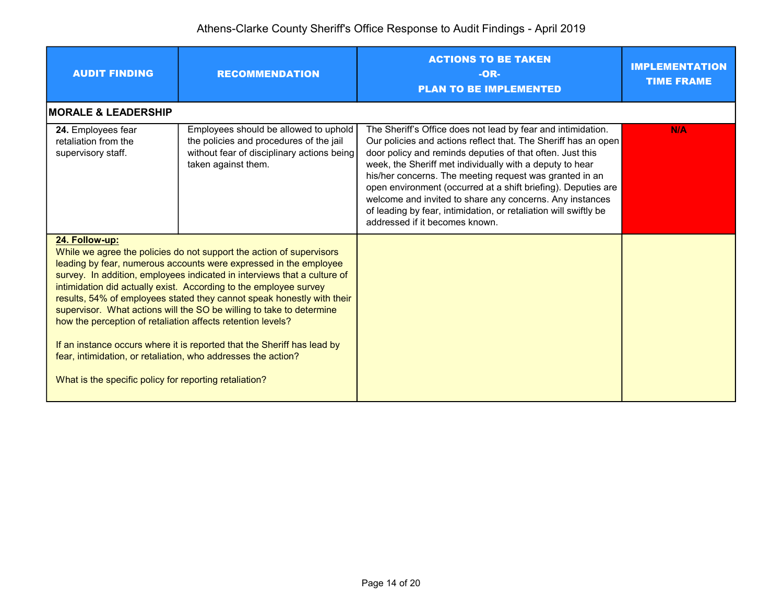| <b>AUDIT FINDING</b>                                                                                                                                                                                                                                                                                                                                                                                                                                                                                                                                                                                                                                                                                                                | <b>RECOMMENDATION</b>                                                                                                                                 | <b>ACTIONS TO BE TAKEN</b><br>$-OR-$<br><b>PLAN TO BE IMPLEMENTED</b>                                                                                                                                                                                                                                                                                                                                                                                                                                                                                 | <b>IMPLEMENTATION</b><br><b>TIME FRAME</b> |
|-------------------------------------------------------------------------------------------------------------------------------------------------------------------------------------------------------------------------------------------------------------------------------------------------------------------------------------------------------------------------------------------------------------------------------------------------------------------------------------------------------------------------------------------------------------------------------------------------------------------------------------------------------------------------------------------------------------------------------------|-------------------------------------------------------------------------------------------------------------------------------------------------------|-------------------------------------------------------------------------------------------------------------------------------------------------------------------------------------------------------------------------------------------------------------------------------------------------------------------------------------------------------------------------------------------------------------------------------------------------------------------------------------------------------------------------------------------------------|--------------------------------------------|
| <b>MORALE &amp; LEADERSHIP</b>                                                                                                                                                                                                                                                                                                                                                                                                                                                                                                                                                                                                                                                                                                      |                                                                                                                                                       |                                                                                                                                                                                                                                                                                                                                                                                                                                                                                                                                                       |                                            |
| 24. Employees fear<br>retaliation from the<br>supervisory staff.                                                                                                                                                                                                                                                                                                                                                                                                                                                                                                                                                                                                                                                                    | Employees should be allowed to uphold<br>the policies and procedures of the jail<br>without fear of disciplinary actions being<br>taken against them. | The Sheriff's Office does not lead by fear and intimidation.<br>Our policies and actions reflect that. The Sheriff has an open<br>door policy and reminds deputies of that often. Just this<br>week, the Sheriff met individually with a deputy to hear<br>his/her concerns. The meeting request was granted in an<br>open environment (occurred at a shift briefing). Deputies are<br>welcome and invited to share any concerns. Any instances<br>of leading by fear, intimidation, or retaliation will swiftly be<br>addressed if it becomes known. | <b>N/A</b>                                 |
| 24. Follow-up:<br>While we agree the policies do not support the action of supervisors<br>leading by fear, numerous accounts were expressed in the employee<br>survey. In addition, employees indicated in interviews that a culture of<br>intimidation did actually exist. According to the employee survey<br>results, 54% of employees stated they cannot speak honestly with their<br>supervisor. What actions will the SO be willing to take to determine<br>how the perception of retaliation affects retention levels?<br>If an instance occurs where it is reported that the Sheriff has lead by<br>fear, intimidation, or retaliation, who addresses the action?<br>What is the specific policy for reporting retaliation? |                                                                                                                                                       |                                                                                                                                                                                                                                                                                                                                                                                                                                                                                                                                                       |                                            |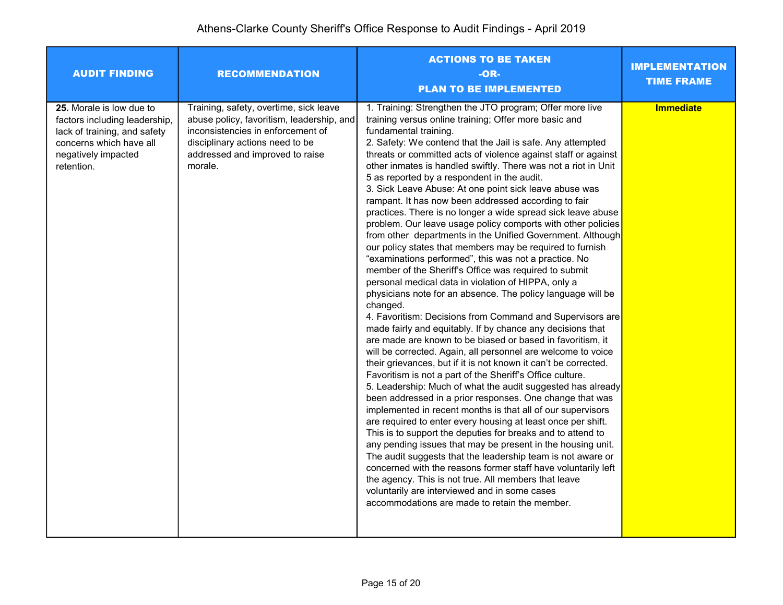| <b>AUDIT FINDING</b>                                                                                                                                      | <b>RECOMMENDATION</b>                                                                                                                                                                                     | <b>ACTIONS TO BE TAKEN</b><br>$-OR-$<br><b>PLAN TO BE IMPLEMENTED</b>                                                                                                                                                                                                                                                                                                                                                                                                                                                                                                                                                                                                                                                                                                                                                                                                                                                                                                                                                                                                                                                                                                                                                                                                                                                                                                                                                                                                                                                                                                                                                                                                                                                                                                                                                                                                                                                                                                                                                                                                                                   | <b>IMPLEMENTATION</b><br><b>TIME FRAME</b> |
|-----------------------------------------------------------------------------------------------------------------------------------------------------------|-----------------------------------------------------------------------------------------------------------------------------------------------------------------------------------------------------------|---------------------------------------------------------------------------------------------------------------------------------------------------------------------------------------------------------------------------------------------------------------------------------------------------------------------------------------------------------------------------------------------------------------------------------------------------------------------------------------------------------------------------------------------------------------------------------------------------------------------------------------------------------------------------------------------------------------------------------------------------------------------------------------------------------------------------------------------------------------------------------------------------------------------------------------------------------------------------------------------------------------------------------------------------------------------------------------------------------------------------------------------------------------------------------------------------------------------------------------------------------------------------------------------------------------------------------------------------------------------------------------------------------------------------------------------------------------------------------------------------------------------------------------------------------------------------------------------------------------------------------------------------------------------------------------------------------------------------------------------------------------------------------------------------------------------------------------------------------------------------------------------------------------------------------------------------------------------------------------------------------------------------------------------------------------------------------------------------------|--------------------------------------------|
| 25. Morale is low due to<br>factors including leadership,<br>lack of training, and safety<br>concerns which have all<br>negatively impacted<br>retention. | Training, safety, overtime, sick leave<br>abuse policy, favoritism, leadership, and<br>inconsistencies in enforcement of<br>disciplinary actions need to be<br>addressed and improved to raise<br>morale. | 1. Training: Strengthen the JTO program; Offer more live<br>training versus online training; Offer more basic and<br>fundamental training.<br>2. Safety: We contend that the Jail is safe. Any attempted<br>threats or committed acts of violence against staff or against<br>other inmates is handled swiftly. There was not a riot in Unit<br>5 as reported by a respondent in the audit.<br>3. Sick Leave Abuse: At one point sick leave abuse was<br>rampant. It has now been addressed according to fair<br>practices. There is no longer a wide spread sick leave abuse<br>problem. Our leave usage policy comports with other policies<br>from other departments in the Unified Government. Although<br>our policy states that members may be required to furnish<br>"examinations performed", this was not a practice. No<br>member of the Sheriff's Office was required to submit<br>personal medical data in violation of HIPPA, only a<br>physicians note for an absence. The policy language will be<br>changed.<br>4. Favoritism: Decisions from Command and Supervisors are<br>made fairly and equitably. If by chance any decisions that<br>are made are known to be biased or based in favoritism, it<br>will be corrected. Again, all personnel are welcome to voice<br>their grievances, but if it is not known it can't be corrected.<br>Favoritism is not a part of the Sheriff's Office culture.<br>5. Leadership: Much of what the audit suggested has already<br>been addressed in a prior responses. One change that was<br>implemented in recent months is that all of our supervisors<br>are required to enter every housing at least once per shift.<br>This is to support the deputies for breaks and to attend to<br>any pending issues that may be present in the housing unit.<br>The audit suggests that the leadership team is not aware or<br>concerned with the reasons former staff have voluntarily left<br>the agency. This is not true. All members that leave<br>voluntarily are interviewed and in some cases<br>accommodations are made to retain the member. | Immediate                                  |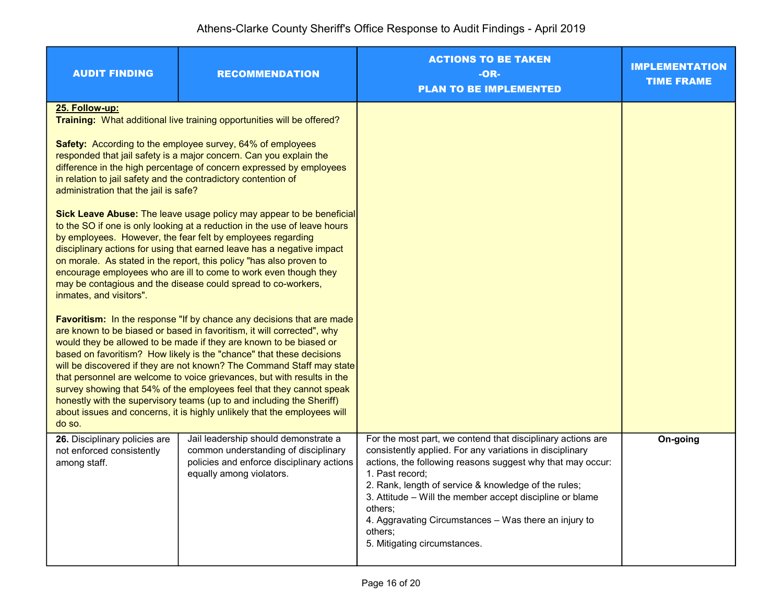| <b>AUDIT FINDING</b>                                                                                                                                                                                                                                                                                                                                                                                                                                                                                                                                                                                                                                                                            | <b>RECOMMENDATION</b>                                                                                                                                 | <b>ACTIONS TO BE TAKEN</b><br>-OR-<br><b>PLAN TO BE IMPLEMENTED</b>                                                                                                                                                                                                                                                                                                                                                                         | <b>IMPLEMENTATION</b><br><b>TIME FRAME</b> |
|-------------------------------------------------------------------------------------------------------------------------------------------------------------------------------------------------------------------------------------------------------------------------------------------------------------------------------------------------------------------------------------------------------------------------------------------------------------------------------------------------------------------------------------------------------------------------------------------------------------------------------------------------------------------------------------------------|-------------------------------------------------------------------------------------------------------------------------------------------------------|---------------------------------------------------------------------------------------------------------------------------------------------------------------------------------------------------------------------------------------------------------------------------------------------------------------------------------------------------------------------------------------------------------------------------------------------|--------------------------------------------|
| 25. Follow-up:                                                                                                                                                                                                                                                                                                                                                                                                                                                                                                                                                                                                                                                                                  | Training: What additional live training opportunities will be offered?                                                                                |                                                                                                                                                                                                                                                                                                                                                                                                                                             |                                            |
| Safety: According to the employee survey, 64% of employees<br>responded that jail safety is a major concern. Can you explain the<br>difference in the high percentage of concern expressed by employees<br>in relation to jail safety and the contradictory contention of<br>administration that the jail is safe?                                                                                                                                                                                                                                                                                                                                                                              |                                                                                                                                                       |                                                                                                                                                                                                                                                                                                                                                                                                                                             |                                            |
| Sick Leave Abuse: The leave usage policy may appear to be beneficial<br>to the SO if one is only looking at a reduction in the use of leave hours<br>by employees. However, the fear felt by employees regarding<br>disciplinary actions for using that earned leave has a negative impact<br>on morale. As stated in the report, this policy "has also proven to<br>encourage employees who are ill to come to work even though they<br>may be contagious and the disease could spread to co-workers,<br>inmates, and visitors".                                                                                                                                                               |                                                                                                                                                       |                                                                                                                                                                                                                                                                                                                                                                                                                                             |                                            |
| <b>Favoritism:</b> In the response "If by chance any decisions that are made<br>are known to be biased or based in favoritism, it will corrected", why<br>would they be allowed to be made if they are known to be biased or<br>based on favoritism? How likely is the "chance" that these decisions<br>will be discovered if they are not known? The Command Staff may state<br>that personnel are welcome to voice grievances, but with results in the<br>survey showing that 54% of the employees feel that they cannot speak<br>honestly with the supervisory teams (up to and including the Sheriff)<br>about issues and concerns, it is highly unlikely that the employees will<br>do so. |                                                                                                                                                       |                                                                                                                                                                                                                                                                                                                                                                                                                                             |                                            |
| 26. Disciplinary policies are<br>not enforced consistently<br>among staff.                                                                                                                                                                                                                                                                                                                                                                                                                                                                                                                                                                                                                      | Jail leadership should demonstrate a<br>common understanding of disciplinary<br>policies and enforce disciplinary actions<br>equally among violators. | For the most part, we contend that disciplinary actions are<br>consistently applied. For any variations in disciplinary<br>actions, the following reasons suggest why that may occur:<br>1. Past record;<br>2. Rank, length of service & knowledge of the rules;<br>3. Attitude - Will the member accept discipline or blame<br>others:<br>4. Aggravating Circumstances - Was there an injury to<br>others:<br>5. Mitigating circumstances. | On-going                                   |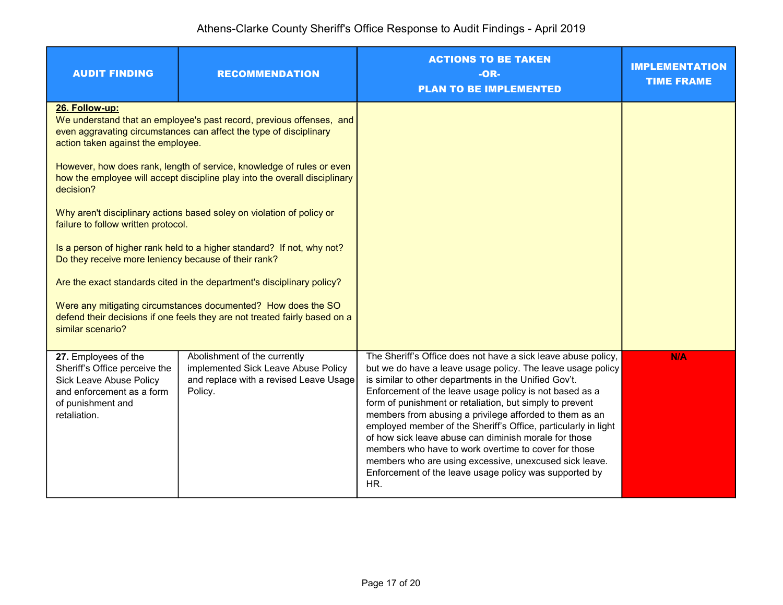| <b>AUDIT FINDING</b>                                                                                                                                             | <b>RECOMMENDATION</b>                                                                                                                      | <b>ACTIONS TO BE TAKEN</b><br>$-OR-$<br><b>PLAN TO BE IMPLEMENTED</b>                                                                                                                                                                                                                                                                                                                                                                                                                                                                                                                                                                                                                 | <b>IMPLEMENTATION</b><br><b>TIME FRAME</b> |
|------------------------------------------------------------------------------------------------------------------------------------------------------------------|--------------------------------------------------------------------------------------------------------------------------------------------|---------------------------------------------------------------------------------------------------------------------------------------------------------------------------------------------------------------------------------------------------------------------------------------------------------------------------------------------------------------------------------------------------------------------------------------------------------------------------------------------------------------------------------------------------------------------------------------------------------------------------------------------------------------------------------------|--------------------------------------------|
| 26. Follow-up:<br>action taken against the employee.                                                                                                             | We understand that an employee's past record, previous offenses, and<br>even aggravating circumstances can affect the type of disciplinary |                                                                                                                                                                                                                                                                                                                                                                                                                                                                                                                                                                                                                                                                                       |                                            |
| However, how does rank, length of service, knowledge of rules or even<br>how the employee will accept discipline play into the overall disciplinary<br>decision? |                                                                                                                                            |                                                                                                                                                                                                                                                                                                                                                                                                                                                                                                                                                                                                                                                                                       |                                            |
| Why aren't disciplinary actions based soley on violation of policy or<br>failure to follow written protocol.                                                     |                                                                                                                                            |                                                                                                                                                                                                                                                                                                                                                                                                                                                                                                                                                                                                                                                                                       |                                            |
| Is a person of higher rank held to a higher standard? If not, why not?<br>Do they receive more leniency because of their rank?                                   |                                                                                                                                            |                                                                                                                                                                                                                                                                                                                                                                                                                                                                                                                                                                                                                                                                                       |                                            |
| Are the exact standards cited in the department's disciplinary policy?                                                                                           |                                                                                                                                            |                                                                                                                                                                                                                                                                                                                                                                                                                                                                                                                                                                                                                                                                                       |                                            |
| Were any mitigating circumstances documented? How does the SO<br>defend their decisions if one feels they are not treated fairly based on a<br>similar scenario? |                                                                                                                                            |                                                                                                                                                                                                                                                                                                                                                                                                                                                                                                                                                                                                                                                                                       |                                            |
| 27. Employees of the<br>Sheriff's Office perceive the<br>Sick Leave Abuse Policy<br>and enforcement as a form<br>of punishment and<br>retaliation.               | Abolishment of the currently<br>implemented Sick Leave Abuse Policy<br>and replace with a revised Leave Usage<br>Policy.                   | The Sheriff's Office does not have a sick leave abuse policy,<br>but we do have a leave usage policy. The leave usage policy<br>is similar to other departments in the Unified Gov't.<br>Enforcement of the leave usage policy is not based as a<br>form of punishment or retaliation, but simply to prevent<br>members from abusing a privilege afforded to them as an<br>employed member of the Sheriff's Office, particularly in light<br>of how sick leave abuse can diminish morale for those<br>members who have to work overtime to cover for those<br>members who are using excessive, unexcused sick leave.<br>Enforcement of the leave usage policy was supported by<br>HR. | <b>N/A</b>                                 |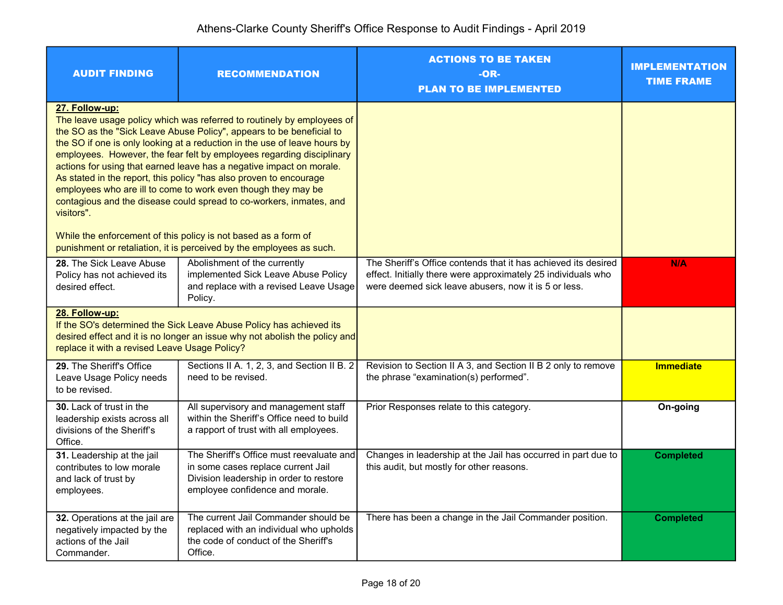| <b>AUDIT FINDING</b>                                                                                                                                                                                                                                                                                                                                                                                                                                                                                                                                                                                                                                                                                                                                                 | <b>RECOMMENDATION</b>                                                                                                                                        | <b>ACTIONS TO BE TAKEN</b><br>-OR-<br><b>PLAN TO BE IMPLEMENTED</b>                                                                                                                     | <b>IMPLEMENTATION</b><br><b>TIME FRAME</b> |
|----------------------------------------------------------------------------------------------------------------------------------------------------------------------------------------------------------------------------------------------------------------------------------------------------------------------------------------------------------------------------------------------------------------------------------------------------------------------------------------------------------------------------------------------------------------------------------------------------------------------------------------------------------------------------------------------------------------------------------------------------------------------|--------------------------------------------------------------------------------------------------------------------------------------------------------------|-----------------------------------------------------------------------------------------------------------------------------------------------------------------------------------------|--------------------------------------------|
| 27. Follow-up:<br>The leave usage policy which was referred to routinely by employees of<br>the SO as the "Sick Leave Abuse Policy", appears to be beneficial to<br>the SO if one is only looking at a reduction in the use of leave hours by<br>employees. However, the fear felt by employees regarding disciplinary<br>actions for using that earned leave has a negative impact on morale.<br>As stated in the report, this policy "has also proven to encourage<br>employees who are ill to come to work even though they may be<br>contagious and the disease could spread to co-workers, inmates, and<br>visitors".<br>While the enforcement of this policy is not based as a form of<br>punishment or retaliation, it is perceived by the employees as such. |                                                                                                                                                              |                                                                                                                                                                                         |                                            |
| 28. The Sick Leave Abuse<br>Policy has not achieved its<br>desired effect.                                                                                                                                                                                                                                                                                                                                                                                                                                                                                                                                                                                                                                                                                           | Abolishment of the currently<br>implemented Sick Leave Abuse Policy<br>and replace with a revised Leave Usage<br>Policy.                                     | The Sheriff's Office contends that it has achieved its desired<br>effect. Initially there were approximately 25 individuals who<br>were deemed sick leave abusers, now it is 5 or less. | <b>N/A</b>                                 |
| 28. Follow-up:<br>If the SO's determined the Sick Leave Abuse Policy has achieved its<br>desired effect and it is no longer an issue why not abolish the policy and<br>replace it with a revised Leave Usage Policy?                                                                                                                                                                                                                                                                                                                                                                                                                                                                                                                                                 |                                                                                                                                                              |                                                                                                                                                                                         |                                            |
| 29. The Sheriff's Office<br>Leave Usage Policy needs<br>to be revised.                                                                                                                                                                                                                                                                                                                                                                                                                                                                                                                                                                                                                                                                                               | Sections II A. 1, 2, 3, and Section II B. 2<br>need to be revised.                                                                                           | Revision to Section II A 3, and Section II B 2 only to remove<br>the phrase "examination(s) performed".                                                                                 | <b>Immediate</b>                           |
| <b>30.</b> Lack of trust in the<br>leadership exists across all<br>divisions of the Sheriff's<br>Office.                                                                                                                                                                                                                                                                                                                                                                                                                                                                                                                                                                                                                                                             | All supervisory and management staff<br>within the Sheriff's Office need to build<br>a rapport of trust with all employees.                                  | Prior Responses relate to this category.                                                                                                                                                | On-going                                   |
| 31. Leadership at the jail<br>contributes to low morale<br>and lack of trust by<br>employees.                                                                                                                                                                                                                                                                                                                                                                                                                                                                                                                                                                                                                                                                        | The Sheriff's Office must reevaluate and<br>in some cases replace current Jail<br>Division leadership in order to restore<br>employee confidence and morale. | Changes in leadership at the Jail has occurred in part due to<br>this audit, but mostly for other reasons.                                                                              | <b>Completed</b>                           |
| 32. Operations at the jail are<br>negatively impacted by the<br>actions of the Jail<br>Commander.                                                                                                                                                                                                                                                                                                                                                                                                                                                                                                                                                                                                                                                                    | The current Jail Commander should be<br>replaced with an individual who upholds<br>the code of conduct of the Sheriff's<br>Office.                           | There has been a change in the Jail Commander position.                                                                                                                                 | <b>Completed</b>                           |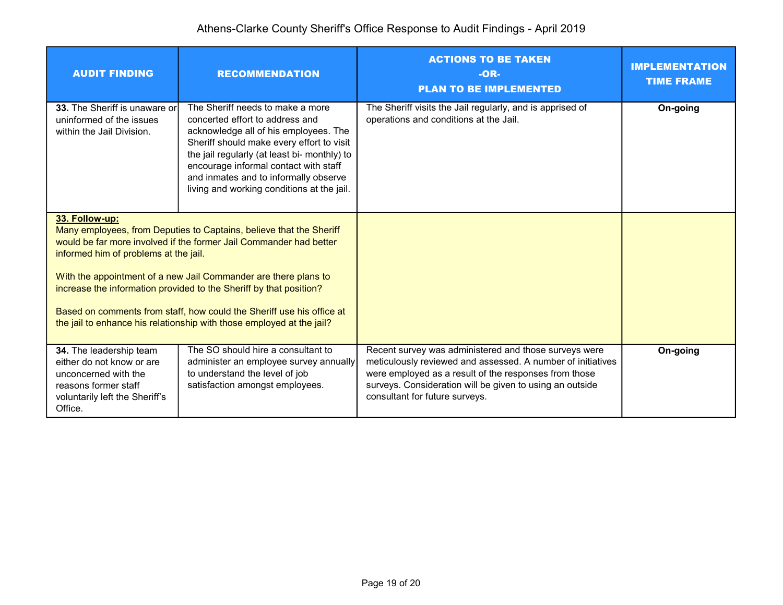| <b>AUDIT FINDING</b>                                                                                                                                                                                                                                                                                                                                                                                                                                                                            | <b>RECOMMENDATION</b>                                                                                                                                                                                                                                                                                                                     | <b>ACTIONS TO BE TAKEN</b><br>$-OR-$<br><b>PLAN TO BE IMPLEMENTED</b>                                                                                                                                                                                                       | <b>IMPLEMENTATION</b><br><b>TIME FRAME</b> |
|-------------------------------------------------------------------------------------------------------------------------------------------------------------------------------------------------------------------------------------------------------------------------------------------------------------------------------------------------------------------------------------------------------------------------------------------------------------------------------------------------|-------------------------------------------------------------------------------------------------------------------------------------------------------------------------------------------------------------------------------------------------------------------------------------------------------------------------------------------|-----------------------------------------------------------------------------------------------------------------------------------------------------------------------------------------------------------------------------------------------------------------------------|--------------------------------------------|
| 33. The Sheriff is unaware or<br>uninformed of the issues<br>within the Jail Division.                                                                                                                                                                                                                                                                                                                                                                                                          | The Sheriff needs to make a more<br>concerted effort to address and<br>acknowledge all of his employees. The<br>Sheriff should make every effort to visit<br>the jail regularly (at least bi- monthly) to<br>encourage informal contact with staff<br>and inmates and to informally observe<br>living and working conditions at the jail. | The Sheriff visits the Jail regularly, and is apprised of<br>operations and conditions at the Jail.                                                                                                                                                                         | On-going                                   |
| 33. Follow-up:<br>Many employees, from Deputies to Captains, believe that the Sheriff<br>would be far more involved if the former Jail Commander had better<br>informed him of problems at the jail.<br>With the appointment of a new Jail Commander are there plans to<br>increase the information provided to the Sheriff by that position?<br>Based on comments from staff, how could the Sheriff use his office at<br>the jail to enhance his relationship with those employed at the jail? |                                                                                                                                                                                                                                                                                                                                           |                                                                                                                                                                                                                                                                             |                                            |
| 34. The leadership team<br>either do not know or are<br>unconcerned with the<br>reasons former staff<br>voluntarily left the Sheriff's<br>Office.                                                                                                                                                                                                                                                                                                                                               | The SO should hire a consultant to<br>administer an employee survey annually<br>to understand the level of job<br>satisfaction amongst employees.                                                                                                                                                                                         | Recent survey was administered and those surveys were<br>meticulously reviewed and assessed. A number of initiatives<br>were employed as a result of the responses from those<br>surveys. Consideration will be given to using an outside<br>consultant for future surveys. | On-going                                   |